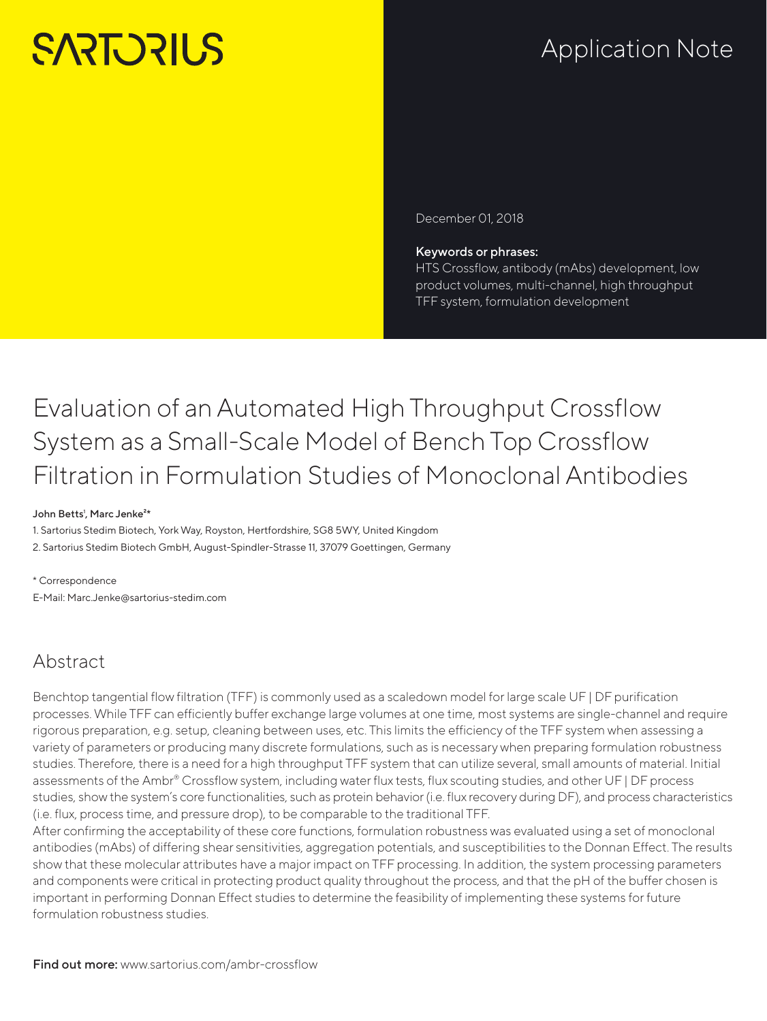# **SARTORILS**

## Application Note

December 01, 2018

#### Keywords or phrases:

HTS Crossflow, antibody (mAbs) development, low product volumes, multi-channel, high throughput TFF system, formulation development

# Evaluation of an Automated High Throughput Crossflow System as a Small-Scale Model of Bench Top Crossflow Filtration in Formulation Studies of Monoclonal Antibodies

#### John Betts<sup>1</sup>, Marc Jenke<sup>2\*</sup>

1. Sartorius Stedim Biotech, York Way, Royston, Hertfordshire, SG8 5WY, United Kingdom 2. Sartorius Stedim Biotech GmbH, August-Spindler-Strasse 11, 37079 Goettingen, Germany

\* Correspondence E-Mail: Marc.Jenke@sartorius-stedim.com

## Abstract

Benchtop tangential flow filtration (TFF) is commonly used as a scaledown model for large scale UF | DF purification processes. While TFF can efficiently buffer exchange large volumes at one time, most systems are single-channel and require rigorous preparation, e.g. setup, cleaning between uses, etc. This limits the efficiency of the TFF system when assessing a variety of parameters or producing many discrete formulations, such as is necessary when preparing formulation robustness studies. Therefore, there is a need for a high throughput TFF system that can utilize several, small amounts of material. Initial assessments of the Ambr® Crossflow system, including water flux tests, flux scouting studies, and other UF | DF process studies, show the system's core functionalities, such as protein behavior (i.e. flux recovery during DF), and process characteristics (i.e. flux, process time, and pressure drop), to be comparable to the traditional TFF.

After confirming the acceptability of these core functions, formulation robustness was evaluated using a set of monoclonal antibodies (mAbs) of differing shear sensitivities, aggregation potentials, and susceptibilities to the Donnan Effect. The results show that these molecular attributes have a major impact on TFF processing. In addition, the system processing parameters and components were critical in protecting product quality throughout the process, and that the pH of the buffer chosen is important in performing Donnan Effect studies to determine the feasibility of implementing these systems for future formulation robustness studies.

Find out more: www.sartorius.com/ambr-crossflow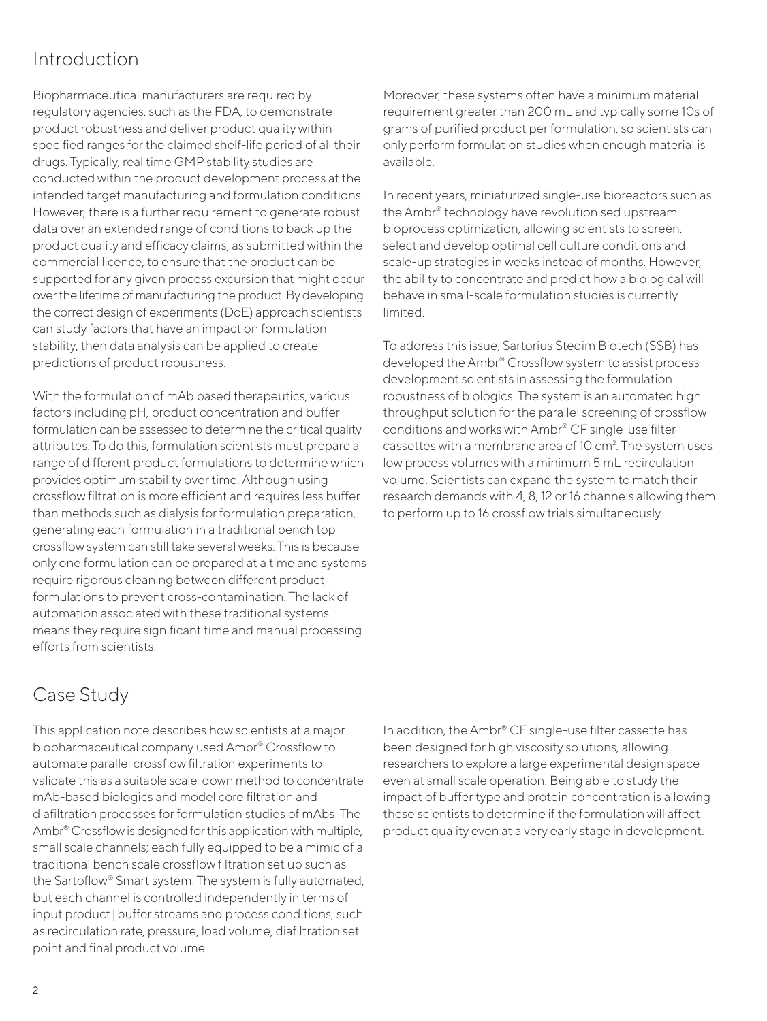## Introduction

Biopharmaceutical manufacturers are required by regulatory agencies, such as the FDA, to demonstrate product robustness and deliver product quality within specified ranges for the claimed shelf-life period of all their drugs. Typically, real time GMP stability studies are conducted within the product development process at the intended target manufacturing and formulation conditions. However, there is a further requirement to generate robust data over an extended range of conditions to back up the product quality and efficacy claims, as submitted within the commercial licence, to ensure that the product can be supported for any given process excursion that might occur over the lifetime of manufacturing the product. By developing the correct design of experiments (DoE) approach scientists can study factors that have an impact on formulation stability, then data analysis can be applied to create predictions of product robustness.

With the formulation of mAb based therapeutics, various factors including pH, product concentration and buffer formulation can be assessed to determine the critical quality attributes. To do this, formulation scientists must prepare a range of different product formulations to determine which provides optimum stability over time. Although using crossflow filtration is more efficient and requires less buffer than methods such as dialysis for formulation preparation, generating each formulation in a traditional bench top crossflow system can still take several weeks. This is because only one formulation can be prepared at a time and systems require rigorous cleaning between different product formulations to prevent cross-contamination. The lack of automation associated with these traditional systems means they require significant time and manual processing efforts from scientists.

## Case Study

This application note describes how scientists at a major biopharmaceutical company used Ambr® Crossflow to automate parallel crossflow filtration experiments to validate this as a suitable scale-down method to concentrate mAb-based biologics and model core filtration and diafiltration processes for formulation studies of mAbs. The Ambr® Crossflow is designed for this application with multiple, small scale channels; each fully equipped to be a mimic of a traditional bench scale crossflow filtration set up such as the Sartoflow® Smart system. The system is fully automated, but each channel is controlled independently in terms of input product | buffer streams and process conditions, such as recirculation rate, pressure, load volume, diafiltration set point and final product volume.

Moreover, these systems often have a minimum material requirement greater than 200 mL and typically some 10s of grams of purified product per formulation, so scientists can only perform formulation studies when enough material is available.

In recent years, miniaturized single-use bioreactors such as the Ambr® technology have revolutionised upstream bioprocess optimization, allowing scientists to screen, select and develop optimal cell culture conditions and scale-up strategies in weeks instead of months. However, the ability to concentrate and predict how a biological will behave in small-scale formulation studies is currently limited.

To address this issue, Sartorius Stedim Biotech (SSB) has developed the Ambr® Crossflow system to assist process development scientists in assessing the formulation robustness of biologics. The system is an automated high throughput solution for the parallel screening of crossflow conditions and works with Ambr® CF single-use filter cassettes with a membrane area of 10 cm<sup>2</sup>. The system uses low process volumes with a minimum 5 mL recirculation volume. Scientists can expand the system to match their research demands with 4, 8, 12 or 16 channels allowing them to perform up to 16 crossflow trials simultaneously.

In addition, the Ambr® CF single-use filter cassette has been designed for high viscosity solutions, allowing researchers to explore a large experimental design space even at small scale operation. Being able to study the impact of buffer type and protein concentration is allowing these scientists to determine if the formulation will affect product quality even at a very early stage in development.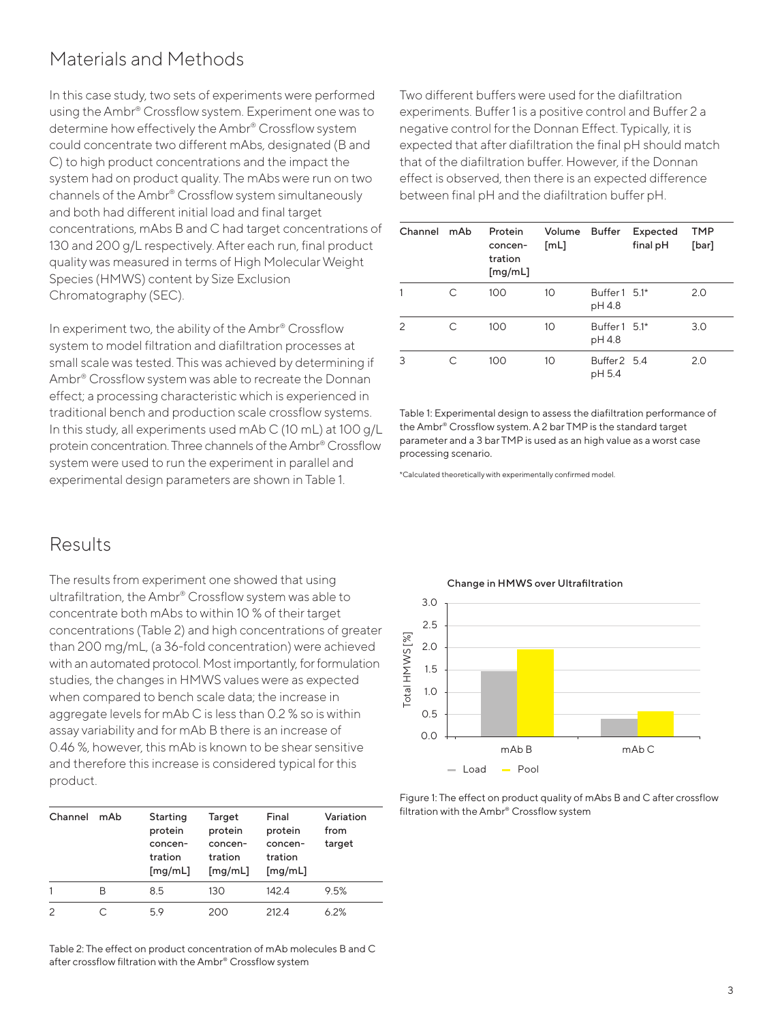## Materials and Methods

In this case study, two sets of experiments were performed using the Ambr® Crossflow system. Experiment one was to determine how effectively the Ambr® Crossflow system could concentrate two different mAbs, designated (B and C) to high product concentrations and the impact the system had on product quality. The mAbs were run on two channels of the Ambr® Crossflow system simultaneously and both had different initial load and final target concentrations, mAbs B and C had target concentrations of 130 and 200 g/L respectively. After each run, final product quality was measured in terms of High Molecular Weight Species (HMWS) content by Size Exclusion Chromatography (SEC).

In experiment two, the ability of the Ambr® Crossflow system to model filtration and diafiltration processes at small scale was tested. This was achieved by determining if Ambr® Crossflow system was able to recreate the Donnan effect; a processing characteristic which is experienced in traditional bench and production scale crossflow systems. In this study, all experiments used mAb C (10 mL) at 100 g/L protein concentration. Three channels of the Ambr® Crossflow system were used to run the experiment in parallel and experimental design parameters are shown in Table 1.

#### Results

The results from experiment one showed that using ultrafiltration, the Ambr® Crossflow system was able to concentrate both mAbs to within 10 % of their target concentrations (Table 2) and high concentrations of greater than 200 mg/mL, (a 36-fold concentration) were achieved with an automated protocol. Most importantly, for formulation studies, the changes in HMWS values were as expected when compared to bench scale data; the increase in aggregate levels for mAb C is less than 0.2 % so is within assay variability and for mAb B there is an increase of 0.46 %, however, this mAb is known to be shear sensitive and therefore this increase is considered typical for this product.

| Channel | mAh | Starting<br>protein<br>concen-<br>tration<br>[mg/mL] | Target<br>protein<br>concen-<br>tration<br>[mg/mL] | Final<br>protein<br>concen-<br>tration<br>[mg/mL] | Variation<br>from<br>target |
|---------|-----|------------------------------------------------------|----------------------------------------------------|---------------------------------------------------|-----------------------------|
| 1       | в   | 8.5                                                  | 130                                                | 142.4                                             | 9.5%                        |
| 2       | C   | 5.9                                                  | 200                                                | 212.4                                             | 6.2%                        |

Table 2: The effect on product concentration of mAb molecules B and C after crossflow filtration with the Ambr® Crossflow system

Two different buffers were used for the diafiltration experiments. Buffer 1 is a positive control and Buffer 2 a negative control for the Donnan Effect. Typically, it is expected that after diafiltration the final pH should match that of the diafiltration buffer. However, if the Donnan effect is observed, then there is an expected difference between final pH and the diafiltration buffer pH.

| Channel       | mAb | Protein<br>concen-<br>tration<br>[mg/mL] | Volume<br>[mL] | Buffer                 | <b>Expected</b><br>final pH | <b>TMP</b><br>[bar] |
|---------------|-----|------------------------------------------|----------------|------------------------|-----------------------------|---------------------|
|               | C   | 100                                      | 10             | Buffer1 5.1*<br>pH 4.8 |                             | 2.0                 |
| $\mathcal{P}$ | С   | 100                                      | 10             | Buffer1 5.1*<br>pH 4.8 |                             | 3.0                 |
| 3             | С   | 100                                      | 10             | Buffer 2 5.4<br>pH 5.4 |                             | 2.0                 |

Table 1: Experimental design to assess the diafiltration performance of the Ambr® Crossflow system. A 2 bar TMP is the standard target parameter and a 3 bar TMP is used as an high value as a worst case processing scenario.

\*Calculated theoretically with experimentally confirmed model.



Change in HMWS over Ultrafiltration

Figure 1: The effect on product quality of mAbs B and C after crossflow filtration with the Ambr® Crossflow system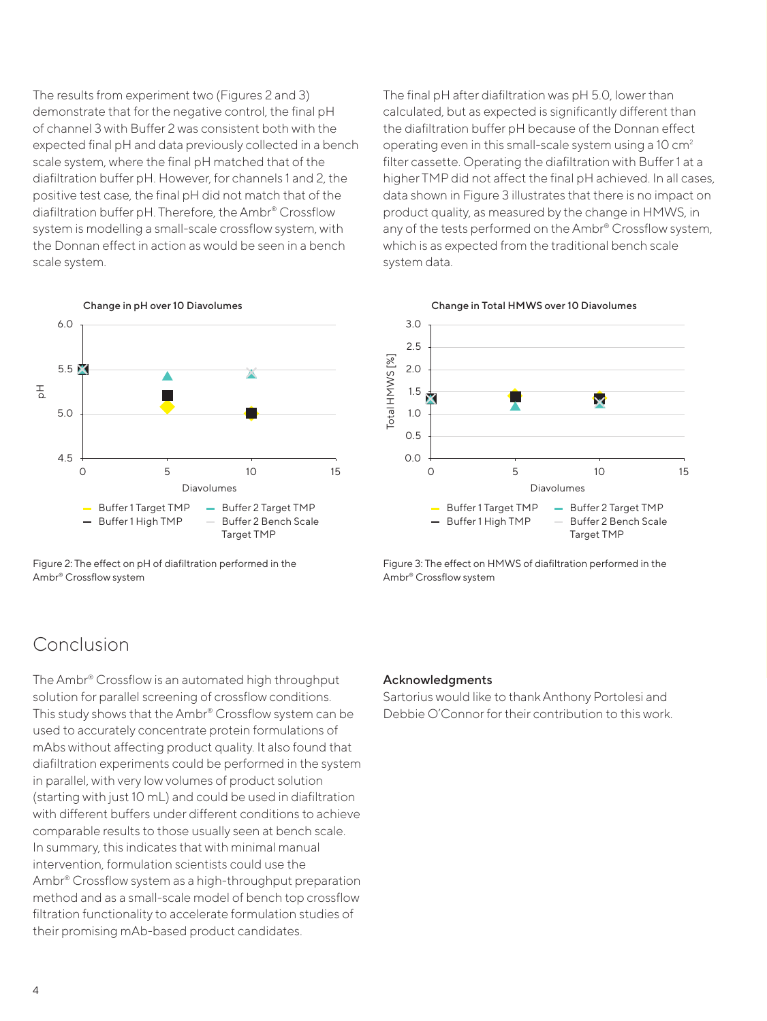The results from experiment two (Figures 2 and 3) demonstrate that for the negative control, the final pH of channel 3 with Buffer 2 was consistent both with the expected final pH and data previously collected in a bench scale system, where the final pH matched that of the diafiltration buffer pH. However, for channels 1 and 2, the positive test case, the final pH did not match that of the diafiltration buffer pH. Therefore, the Ambr® Crossflow system is modelling a small-scale crossflow system, with the Donnan effect in action as would be seen in a bench scale system.



Figure 2: The effect on pH of diafiltration performed in the Ambr® Crossflow system

### Conclusion

The Ambr® Crossflow is an automated high throughput solution for parallel screening of crossflow conditions. This study shows that the Ambr® Crossflow system can be used to accurately concentrate protein formulations of mAbs without affecting product quality. It also found that diafiltration experiments could be performed in the system in parallel, with very low volumes of product solution (starting with just 10 mL) and could be used in diafiltration with different buffers under different conditions to achieve comparable results to those usually seen at bench scale. In summary, this indicates that with minimal manual intervention, formulation scientists could use the Ambr® Crossflow system as a high-throughput preparation method and as a small-scale model of bench top crossflow filtration functionality to accelerate formulation studies of their promising mAb-based product candidates.

The final pH after diafiltration was pH 5.0, lower than calculated, but as expected is significantly different than the diafiltration buffer pH because of the Donnan effect operating even in this small-scale system using a 10  $\text{cm}^2$ filter cassette. Operating the diafiltration with Buffer 1 at a higher TMP did not affect the final pH achieved. In all cases, data shown in Figure 3 illustrates that there is no impact on product quality, as measured by the change in HMWS, in any of the tests performed on the Ambr® Crossflow system, which is as expected from the traditional bench scale system data.



Figure 3: The effect on HMWS of diafiltration performed in the Ambr® Crossflow system

#### Acknowledgments

Sartorius would like to thank Anthony Portolesi and Debbie O'Connor for their contribution to this work.